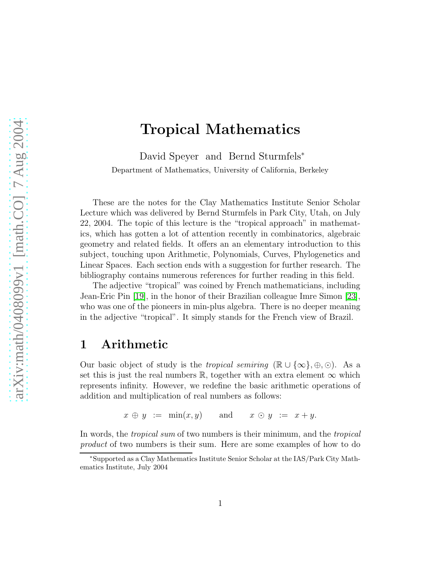# Tropical Mathematics

David Speyer and Bernd Sturmfels<sup>∗</sup> Department of Mathematics, University of California, Berkeley

These are the notes for the Clay Mathematics Institute Senior Scholar Lecture which was delivered by Bernd Sturmfels in Park City, Utah, on July 22, 2004. The topic of this lecture is the "tropical approach" in mathematics, which has gotten a lot of attention recently in combinatorics, algebraic geometry and related fields. It offers an an elementary introduction to this subject, touching upon Arithmetic, Polynomials, Curves, Phylogenetics and Linear Spaces. Each section ends with a suggestion for further research. The bibliography contains numerous references for further reading in this field.

The adjective "tropical" was coined by French mathematicians, including Jean-Eric Pin [\[19\]](#page-14-0), in the honor of their Brazilian colleague Imre Simon [\[23\]](#page-14-1), who was one of the pioneers in min-plus algebra. There is no deeper meaning in the adjective "tropical". It simply stands for the French view of Brazil.

### 1 Arithmetic

Our basic object of study is the *tropical semiring* ( $\mathbb{R} \cup \{\infty\}, \oplus, \odot$ ). As a set this is just the real numbers R, together with an extra element  $\infty$  which represents infinity. However, we redefine the basic arithmetic operations of addition and multiplication of real numbers as follows:

 $x \oplus y := \min(x, y)$  and  $x \odot y := x + y$ .

In words, the tropical sum of two numbers is their minimum, and the tropical product of two numbers is their sum. Here are some examples of how to do

<sup>∗</sup>Supported as a Clay Mathematics Institute Senior Scholar at the IAS/Park City Mathematics Institute, July 2004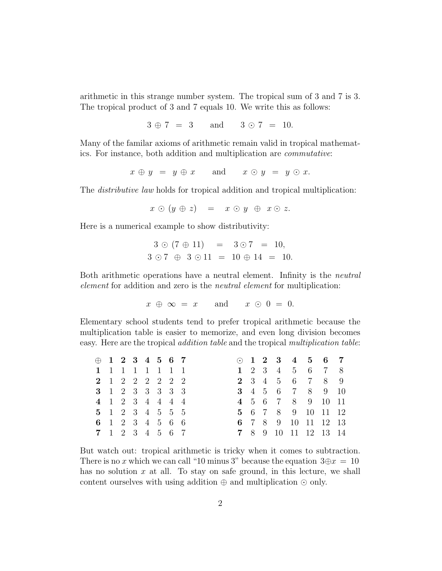arithmetic in this strange number system. The tropical sum of 3 and 7 is 3. The tropical product of 3 and 7 equals 10. We write this as follows:

 $3 \oplus 7 = 3$  and  $3 \odot 7 = 10$ .

Many of the familar axioms of arithmetic remain valid in tropical mathematics. For instance, both addition and multiplication are commutative:

 $x \oplus y = y \oplus x$  and  $x \odot y = y \odot x$ .

The distributive law holds for tropical addition and tropical multiplication:

$$
x \odot (y \oplus z) = x \odot y \oplus x \odot z.
$$

Here is a numerical example to show distributivity:

$$
3 \odot (7 \oplus 11) = 3 \odot 7 = 10,
$$
  

$$
3 \odot 7 \oplus 3 \odot 11 = 10 \oplus 14 = 10.
$$

Both arithmetic operations have a neutral element. Infinity is the neutral element for addition and zero is the neutral element for multiplication:

 $x \oplus \infty = x$  and  $x \odot 0 = 0$ .

Elementary school students tend to prefer tropical arithmetic because the multiplication table is easier to memorize, and even long division becomes easy. Here are the tropical addition table and the tropical multiplication table:

|  | $\oplus$ 1 2 3 4 5 6 7 |  |  |  |  |  | $\odot$ 1 2 3 4 5 6 7 |  |
|--|------------------------|--|--|--|--|--|-----------------------|--|
|  | 1 1 1 1 1 1 1 1        |  |  |  |  |  | 1 2 3 4 5 6 7 8       |  |
|  | 2 1 2 2 2 2 2 2        |  |  |  |  |  | 2 3 4 5 6 7 8 9       |  |
|  | 3 1 2 3 3 3 3 3        |  |  |  |  |  | 3 4 5 6 7 8 9 10      |  |
|  | 4 1 2 3 4 4 4 4        |  |  |  |  |  | 4 5 6 7 8 9 10 11     |  |
|  | 5 1 2 3 4 5 5 5        |  |  |  |  |  | 5 6 7 8 9 10 11 12    |  |
|  | 6 1 2 3 4 5 6 6        |  |  |  |  |  | 6 7 8 9 10 11 12 13   |  |
|  | 7 1 2 3 4 5 6 7        |  |  |  |  |  | 7 8 9 10 11 12 13 14  |  |

But watch out: tropical arithmetic is tricky when it comes to subtraction. There is no x which we can call "10 minus 3" because the equation  $3oplus x = 10$ has no solution  $x$  at all. To stay on safe ground, in this lecture, we shall content ourselves with using addition  $oplus$  and multiplication  $\odot$  only.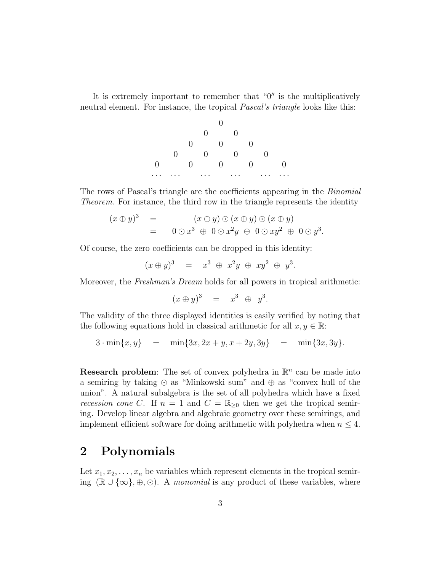It is extremely important to remember that  $"0"$  is the multiplicatively neutral element. For instance, the tropical *Pascal's triangle* looks like this:



The rows of Pascal's triangle are the coefficients appearing in the Binomial Theorem. For instance, the third row in the triangle represents the identity

$$
(x \oplus y)^3 = (x \oplus y) \odot (x \oplus y) \odot (x \oplus y)
$$
  
= 
$$
0 \odot x^3 \oplus 0 \odot x^2y \oplus 0 \odot xy^2 \oplus 0 \odot y^3.
$$

Of course, the zero coefficients can be dropped in this identity:

 $(x \oplus y)^3 = x^3 \oplus x^2y \oplus xy^2 \oplus y^3.$ 

Moreover, the Freshman's Dream holds for all powers in tropical arithmetic:

$$
(x \oplus y)^3 = x^3 \oplus y^3.
$$

The validity of the three displayed identities is easily verified by noting that the following equations hold in classical arithmetic for all  $x, y \in \mathbb{R}$ :

 $3 \cdot \min\{x, y\}$  =  $\min\{3x, 2x + y, x + 2y, 3y\}$  =  $\min\{3x, 3y\}.$ 

**Research problem:** The set of convex polyhedra in  $\mathbb{R}^n$  can be made into a semiring by taking ⊙ as "Minkowski sum" and ⊕ as "convex hull of the union". A natural subalgebra is the set of all polyhedra which have a fixed recession cone C. If  $n = 1$  and  $C = \mathbb{R}_{\geq 0}$  then we get the tropical semiing. Develop linear algebra and algebraic geometry over these semirings, and implement efficient software for doing arithmetic with polyhedra when  $n \leq 4$ .

# 2 Polynomials

Let  $x_1, x_2, \ldots, x_n$  be variables which represent elements in the tropical semiring  $(\mathbb{R} \cup {\infty}, \oplus, \odot)$ . A monomial is any product of these variables, where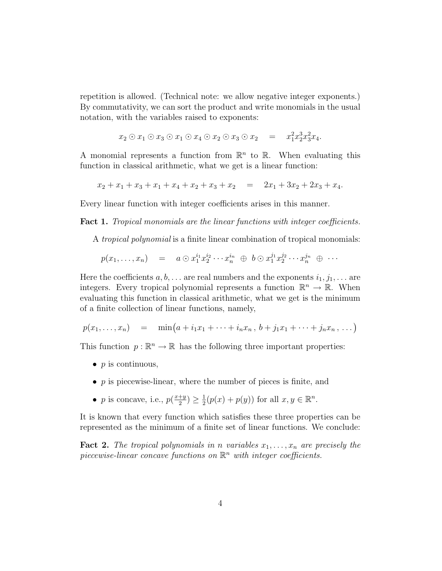repetition is allowed. (Technical note: we allow negative integer exponents.) By commutativity, we can sort the product and write monomials in the usual notation, with the variables raised to exponents:

$$
x_2 \odot x_1 \odot x_3 \odot x_1 \odot x_4 \odot x_2 \odot x_3 \odot x_2 = x_1^2 x_2^3 x_3^2 x_4.
$$

A monomial represents a function from  $\mathbb{R}^n$  to  $\mathbb{R}$ . When evaluating this function in classical arithmetic, what we get is a linear function:

$$
x_2 + x_1 + x_3 + x_1 + x_4 + x_2 + x_3 + x_2 = 2x_1 + 3x_2 + 2x_3 + x_4.
$$

Every linear function with integer coefficients arises in this manner.

Fact 1. Tropical monomials are the linear functions with integer coefficients.

A tropical polynomial is a finite linear combination of tropical monomials:

$$
p(x_1,\ldots,x_n) = a \odot x_1^{i_1} x_2^{i_2} \cdots x_n^{i_n} \oplus b \odot x_1^{j_1} x_2^{j_2} \cdots x_n^{j_n} \oplus \cdots
$$

Here the coefficients  $a, b, \ldots$  are real numbers and the exponents  $i_1, j_1, \ldots$  are integers. Every tropical polynomial represents a function  $\mathbb{R}^n \to \mathbb{R}$ . When evaluating this function in classical arithmetic, what we get is the minimum of a finite collection of linear functions, namely,

$$
p(x_1,...,x_n) = \min(a + i_1x_1 + \dots + i_nx_n, b + j_1x_1 + \dots + j_nx_n, ...)
$$

This function  $p : \mathbb{R}^n \to \mathbb{R}$  has the following three important properties:

- $p$  is continuous,
- $p$  is piecewise-linear, where the number of pieces is finite, and
- *p* is concave, i.e.,  $p(\frac{x+y}{2})$  $\frac{+y}{2}) \geq \frac{1}{2}$  $\frac{1}{2}(p(x) + p(y))$  for all  $x, y \in \mathbb{R}^n$ .

It is known that every function which satisfies these three properties can be represented as the minimum of a finite set of linear functions. We conclude:

**Fact 2.** The tropical polynomials in n variables  $x_1, \ldots, x_n$  are precisely the piecewise-linear concave functions on  $\mathbb{R}^n$  with integer coefficients.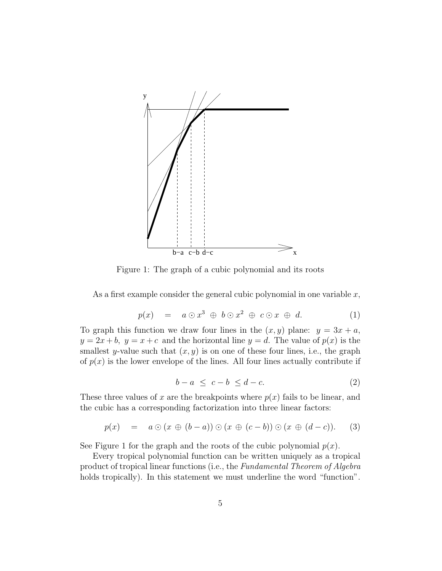

Figure 1: The graph of a cubic polynomial and its roots

<span id="page-4-0"></span>As a first example consider the general cubic polynomial in one variable  $x$ ,

$$
p(x) = a \odot x^3 \oplus b \odot x^2 \oplus c \odot x \oplus d. \tag{1}
$$

<span id="page-4-1"></span>To graph this function we draw four lines in the  $(x, y)$  plane:  $y = 3x + a$ ,  $y = 2x + b$ ,  $y = x + c$  and the horizontal line  $y = d$ . The value of  $p(x)$  is the smallest y-value such that  $(x, y)$  is on one of these four lines, i.e., the graph of  $p(x)$  is the lower envelope of the lines. All four lines actually contribute if

$$
b - a \leq c - b \leq d - c. \tag{2}
$$

These three values of x are the breakpoints where  $p(x)$  fails to be linear, and the cubic has a corresponding factorization into three linear factors:

$$
p(x) = a \odot (x \oplus (b-a)) \odot (x \oplus (c-b)) \odot (x \oplus (d-c)). \qquad (3)
$$

See Figure 1 for the graph and the roots of the cubic polynomial  $p(x)$ .

Every tropical polynomial function can be written uniquely as a tropical product of tropical linear functions (i.e., the Fundamental Theorem of Algebra holds tropically). In this statement we must underline the word "function".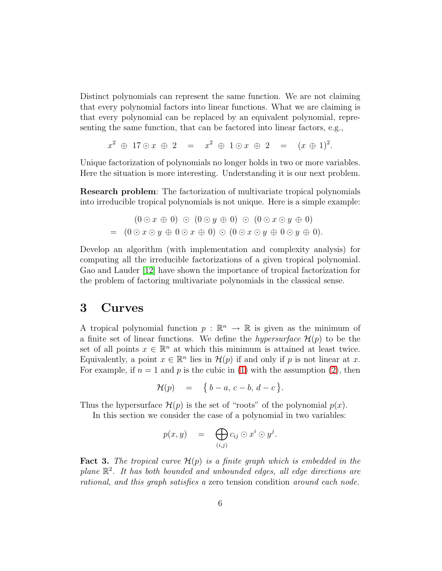Distinct polynomials can represent the same function. We are not claiming that every polynomial factors into linear functions. What we are claiming is that every polynomial can be replaced by an equivalent polynomial, representing the same function, that can be factored into linear factors, e.g.,

$$
x^2 \oplus 17 \odot x \oplus 2 = x^2 \oplus 1 \odot x \oplus 2 = (x \oplus 1)^2.
$$

Unique factorization of polynomials no longer holds in two or more variables. Here the situation is more interesting. Understanding it is our next problem.

Research problem: The factorization of multivariate tropical polynomials into irreducible tropical polynomials is not unique. Here is a simple example:

$$
(0 \odot x \oplus 0) \odot (0 \odot y \oplus 0) \odot (0 \odot x \odot y \oplus 0)
$$
  
= 
$$
(0 \odot x \odot y \oplus 0 \odot x \oplus 0) \odot (0 \odot x \odot y \oplus 0 \odot y \oplus 0).
$$

Develop an algorithm (with implementation and complexity analysis) for computing all the irreducible factorizations of a given tropical polynomial. Gao and Lauder [\[12\]](#page-13-0) have shown the importance of tropical factorization for the problem of factoring multivariate polynomials in the classical sense.

#### 3 Curves

A tropical polynomial function  $p : \mathbb{R}^n \to \mathbb{R}$  is given as the minimum of a finite set of linear functions. We define the *hypersurface*  $\mathcal{H}(p)$  to be the set of all points  $x \in \mathbb{R}^n$  at which this minimum is attained at least twice. Equivalently, a point  $x \in \mathbb{R}^n$  lies in  $\mathcal{H}(p)$  if and only if p is not linear at x. For example, if  $n = 1$  and p is the cubic in [\(1\)](#page-4-0) with the assumption [\(2\)](#page-4-1), then

$$
\mathcal{H}(p) = \{b-a, c-b, d-c\}.
$$

Thus the hypersurface  $\mathcal{H}(p)$  is the set of "roots" of the polynomial  $p(x)$ .

In this section we consider the case of a polynomial in two variables:

$$
p(x, y) = \bigoplus_{(i,j)} c_{ij} \odot x^i \odot y^j.
$$

**Fact 3.** The tropical curve  $\mathcal{H}(p)$  is a finite graph which is embedded in the plane R 2 . It has both bounded and unbounded edges, all edge directions are rational, and this graph satisfies a zero tension condition around each node.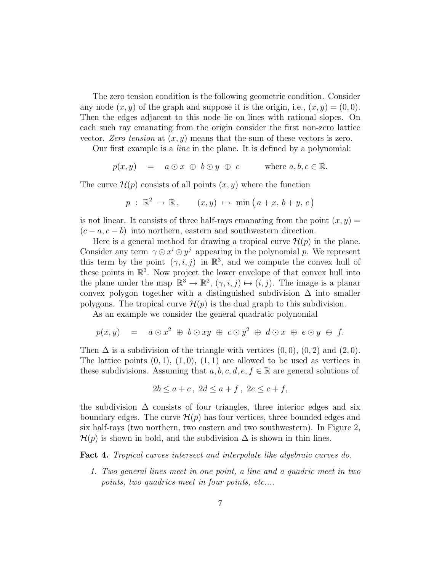The zero tension condition is the following geometric condition. Consider any node  $(x, y)$  of the graph and suppose it is the origin, i.e.,  $(x, y) = (0, 0)$ . Then the edges adjacent to this node lie on lines with rational slopes. On each such ray emanating from the origin consider the first non-zero lattice vector. Zero tension at  $(x, y)$  means that the sum of these vectors is zero.

Our first example is a line in the plane. It is defined by a polynomial:

$$
p(x, y) = a \odot x \oplus b \odot y \oplus c \quad \text{where } a, b, c \in \mathbb{R}.
$$

The curve  $\mathcal{H}(p)$  consists of all points  $(x, y)$  where the function

$$
p : \mathbb{R}^2 \to \mathbb{R}, \qquad (x, y) \mapsto \min(a+x, b+y, c)
$$

is not linear. It consists of three half-rays emanating from the point  $(x, y)$  =  $(c - a, c - b)$  into northern, eastern and southwestern direction.

Here is a general method for drawing a tropical curve  $\mathcal{H}(p)$  in the plane. Consider any term  $\gamma \odot x^i \odot y^j$  appearing in the polynomial p. We represent this term by the point  $(\gamma, i, j)$  in  $\mathbb{R}^3$ , and we compute the convex hull of these points in  $\mathbb{R}^3$ . Now project the lower envelope of that convex hull into the plane under the map  $\mathbb{R}^3 \to \mathbb{R}^2$ ,  $(\gamma, i, j) \mapsto (i, j)$ . The image is a planar convex polygon together with a distinguished subdivision  $\Delta$  into smaller polygons. The tropical curve  $\mathcal{H}(p)$  is the dual graph to this subdivision.

As an example we consider the general quadratic polynomial

$$
p(x,y) = a \odot x^2 \oplus b \odot xy \oplus c \odot y^2 \oplus d \odot x \oplus e \odot y \oplus f.
$$

Then  $\Delta$  is a subdivision of the triangle with vertices  $(0,0)$ ,  $(0,2)$  and  $(2,0)$ . The lattice points  $(0, 1), (1, 0), (1, 1)$  are allowed to be used as vertices in these subdivisions. Assuming that  $a, b, c, d, e, f \in \mathbb{R}$  are general solutions of

$$
2b \le a + c, \ 2d \le a + f, \ 2e \le c + f,
$$

the subdivision  $\Delta$  consists of four triangles, three interior edges and six boundary edges. The curve  $\mathcal{H}(p)$  has four vertices, three bounded edges and six half-rays (two northern, two eastern and two southwestern). In Figure 2,  $\mathcal{H}(p)$  is shown in bold, and the subdivision  $\Delta$  is shown in thin lines.

Fact 4. Tropical curves intersect and interpolate like algebraic curves do.

1. Two general lines meet in one point, a line and a quadric meet in two points, two quadrics meet in four points, etc....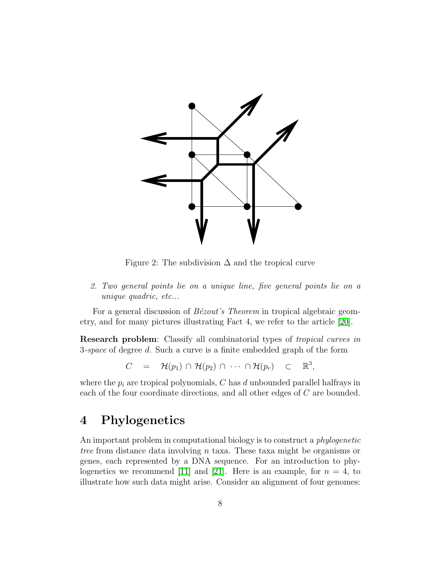

Figure 2: The subdivision  $\Delta$  and the tropical curve

2. Two general points lie on a unique line, five general points lie on a unique quadric, etc...

For a general discussion of  $B\acute{e}zout's$  Theorem in tropical algebraic geometry, and for many pictures illustrating Fact 4, we refer to the article [\[20\]](#page-14-2).

Research problem: Classify all combinatorial types of tropical curves in 3-space of degree d. Such a curve is a finite embedded graph of the form

$$
C = \mathcal{H}(p_1) \cap \mathcal{H}(p_2) \cap \cdots \cap \mathcal{H}(p_r) \subset \mathbb{R}^3,
$$

where the  $p_i$  are tropical polynomials, C has d unbounded parallel halfrays in each of the four coordinate directions, and all other edges of C are bounded.

# 4 Phylogenetics

An important problem in computational biology is to construct a *phylogenetic* tree from distance data involving n taxa. These taxa might be organisms or genes, each represented by a DNA sequence. For an introduction to phy-logenetics we recommend [\[11\]](#page-13-1) and [\[21\]](#page-14-3). Here is an example, for  $n = 4$ , to illustrate how such data might arise. Consider an alignment of four genomes: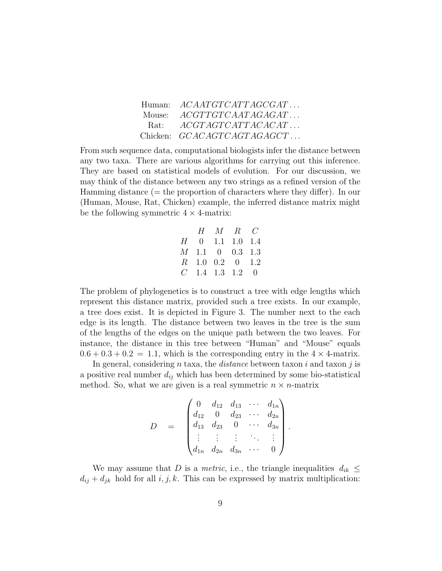|          | Human: $ACAATGTCATTAGCGAT$   |
|----------|------------------------------|
| Mouse: - | ACGTTGTCAATAGAGAT            |
| Rat:     | $ACGTAGTCATTACACAT$          |
|          | Chicken: $GCACAGTCAGTAGAGCT$ |

From such sequence data, computational biologists infer the distance between any two taxa. There are various algorithms for carrying out this inference. They are based on statistical models of evolution. For our discussion, we may think of the distance between any two strings as a refined version of the Hamming distance (= the proportion of characters where they differ). In our (Human, Mouse, Rat, Chicken) example, the inferred distance matrix might be the following symmetric  $4 \times 4$ -matrix:

|  | $H \quad M \quad R \quad C$ |  |
|--|-----------------------------|--|
|  | $H = 0$ 1.1 1.0 1.4         |  |
|  | $M$ 1.1 0 0.3 1.3           |  |
|  | $R$ 1.0 0.2 0 1.2           |  |
|  | $C$ 1.4 1.3 1.2 0           |  |

The problem of phylogenetics is to construct a tree with edge lengths which represent this distance matrix, provided such a tree exists. In our example, a tree does exist. It is depicted in Figure 3. The number next to the each edge is its length. The distance between two leaves in the tree is the sum of the lengths of the edges on the unique path between the two leaves. For instance, the distance in this tree between "Human" and "Mouse" equals  $0.6 + 0.3 + 0.2 = 1.1$ , which is the corresponding entry in the  $4 \times 4$ -matrix.

In general, considering n taxa, the *distance* between taxon i and taxon j is a positive real number  $d_{ij}$  which has been determined by some bio-statistical method. So, what we are given is a real symmetric  $n \times n$ -matrix

$$
D = \begin{pmatrix} 0 & d_{12} & d_{13} & \cdots & d_{1n} \\ d_{12} & 0 & d_{23} & \cdots & d_{2n} \\ d_{13} & d_{23} & 0 & \cdots & d_{3n} \\ \vdots & \vdots & \vdots & \ddots & \vdots \\ d_{1n} & d_{2n} & d_{3n} & \cdots & 0 \end{pmatrix}.
$$

We may assume that D is a *metric*, i.e., the triangle inequalities  $d_{ik} \leq$  $d_{ij} + d_{jk}$  hold for all  $i, j, k$ . This can be expressed by matrix multiplication: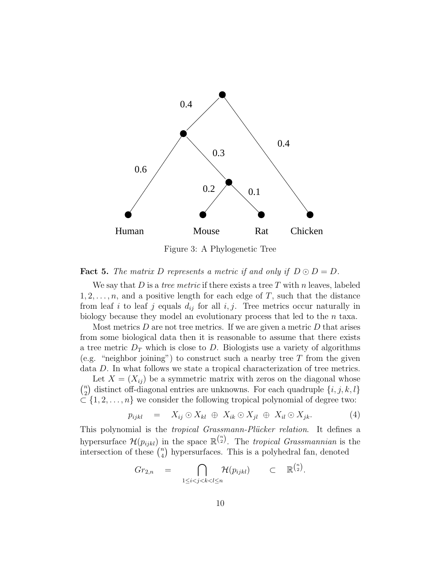

Figure 3: A Phylogenetic Tree

#### **Fact 5.** The matrix D represents a metric if and only if  $D \odot D = D$ .

We say that D is a *tree metric* if there exists a tree T with n leaves, labeled  $1, 2, \ldots, n$ , and a positive length for each edge of T, such that the distance from leaf i to leaf j equals  $d_{ij}$  for all i, j. Tree metrics occur naturally in biology because they model an evolutionary process that led to the n taxa.

Most metrics  $D$  are not tree metrics. If we are given a metric  $D$  that arises from some biological data then it is reasonable to assume that there exists a tree metric  $D<sub>T</sub>$  which is close to D. Biologists use a variety of algorithms (e.g. "neighbor joining") to construct such a nearby tree  $T$  from the given data D. In what follows we state a tropical characterization of tree metrics.

Let  $X = (X_{ij})$  be a symmetric matrix with zeros on the diagonal whose  $\binom{n}{n}$  $\binom{n}{2}$  distinct off-diagonal entries are unknowns. For each quadruple  $\{i, j, k, l\}$  $\subset \{1, 2, \ldots, n\}$  we consider the following tropical polynomial of degree two:

<span id="page-9-0"></span>
$$
p_{ijkl} = X_{ij} \odot X_{kl} \oplus X_{ik} \odot X_{jl} \oplus X_{il} \odot X_{jk}.
$$
 (4)

This polynomial is the *tropical Grassmann-Plücker relation*. It defines a hypersurface  $\mathcal{H}(p_{ijkl})$  in the space  $\mathbb{R}^{n \choose 2}$ . The tropical Grassmannian is the intersection of these  $\binom{n}{4}$  $\binom{n}{4}$  hypersurfaces. This is a polyhedral fan, denoted

$$
Gr_{2,n} = \bigcap_{1 \leq i < j < k < l \leq n} \mathcal{H}(p_{ijkl}) \subset \mathbb{R}^{\binom{n}{2}}.
$$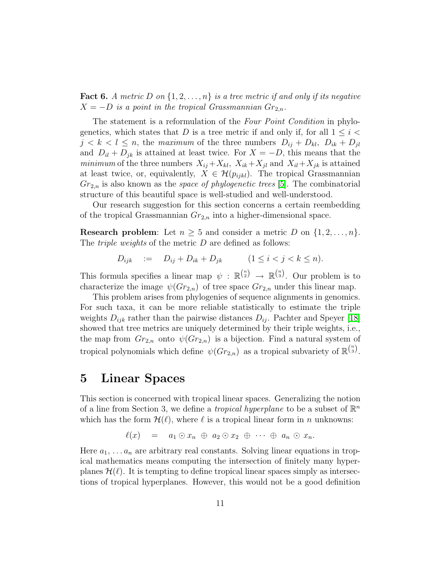**Fact 6.** A metric D on  $\{1, 2, \ldots, n\}$  is a tree metric if and only if its negative  $X = -D$  is a point in the tropical Grassmannian  $Gr_{2,n}$ .

The statement is a reformulation of the Four Point Condition in phylogenetics, which states that D is a tree metric if and only if, for all  $1 \leq i \leq$  $j < k < l \le n$ , the maximum of the three numbers  $D_{ij} + D_{kl}$ ,  $D_{ik} + D_{jl}$ and  $D_{il} + D_{jk}$  is attained at least twice. For  $X = -D$ , this means that the minimum of the three numbers  $X_{ij} + X_{kl}$ ,  $X_{ik} + X_{jl}$  and  $X_{il} + X_{jk}$  is attained at least twice, or, equivalently,  $X \in \mathcal{H}(p_{ijkl})$ . The tropical Grassmannian  $Gr_{2,n}$  is also known as the *space of phylogenetic trees* [\[5\]](#page-13-2). The combinatorial structure of this beautiful space is well-studied and well-understood.

Our research suggestion for this section concerns a certain reembedding of the tropical Grassmannian  $Gr_{2,n}$  into a higher-dimensional space.

**Research problem:** Let  $n \geq 5$  and consider a metric D on  $\{1, 2, \ldots, n\}$ . The *triple weights* of the metric D are defined as follows:

$$
D_{ijk} = D_{ij} + D_{ik} + D_{jk} \t (1 \le i < j < k \le n).
$$

This formula specifies a linear map  $\psi : \mathbb{R}^{n \choose 2} \to \mathbb{R}^{n \choose 3}$ . Our problem is to characterize the image  $\psi(Gr_{2,n})$  of tree space  $Gr_{2,n}$  under this linear map.

This problem arises from phylogenies of sequence alignments in genomics. For such taxa, it can be more reliable statistically to estimate the triple weights  $D_{ijk}$  rather than the pairwise distances  $D_{ij}$ . Pachter and Speyer [\[18\]](#page-14-4) showed that tree metrics are uniquely determined by their triple weights, i.e., the map from  $Gr_{2,n}$  onto  $\psi(Gr_{2,n})$  is a bijection. Find a natural system of tropical polynomials which define  $\psi(Gr_{2,n})$  as a tropical subvariety of  $\mathbb{R}^{\binom{n}{3}}$ .

### 5 Linear Spaces

This section is concerned with tropical linear spaces. Generalizing the notion of a line from Section 3, we define a *tropical hyperplane* to be a subset of  $\mathbb{R}^n$ which has the form  $\mathcal{H}(\ell)$ , where  $\ell$  is a tropical linear form in n unknowns:

$$
\ell(x) = a_1 \odot x_n \oplus a_2 \odot x_2 \oplus \cdots \oplus a_n \odot x_n.
$$

Here  $a_1, \ldots a_n$  are arbitrary real constants. Solving linear equations in tropical mathematics means computing the intersection of finitely many hyperplanes  $\mathcal{H}(\ell)$ . It is tempting to define tropical linear spaces simply as intersections of tropical hyperplanes. However, this would not be a good definition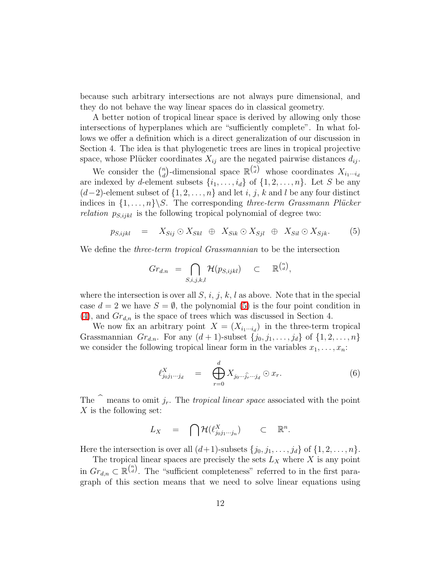because such arbitrary intersections are not always pure dimensional, and they do not behave the way linear spaces do in classical geometry.

A better notion of tropical linear space is derived by allowing only those intersections of hyperplanes which are "sufficiently complete". In what follows we offer a definition which is a direct generalization of our discussion in Section 4. The idea is that phylogenetic trees are lines in tropical projective space, whose Plücker coordinates  $X_{ij}$  are the negated pairwise distances  $d_{ij}$ .

We consider the  $\binom{n}{d}$ <sup>n</sup><sub>d</sub>)-dimensional space  $\mathbb{R}^{\binom{n}{d}}$  whose coordinates  $X_{i_1\cdots i_d}$ are indexed by d-element subsets  $\{i_1, \ldots, i_d\}$  of  $\{1, 2, \ldots, n\}$ . Let S be any  $(d-2)$ -element subset of  $\{1, 2, \ldots, n\}$  and let i, j, k and l be any four distinct indices in  $\{1, \ldots, n\} \backslash S$ . The corresponding three-term Grassmann Plücker *relation*  $p_{S,ijkl}$  is the following tropical polynomial of degree two:

$$
p_{S,ijkl} = X_{Sij} \odot X_{Skl} \oplus X_{Sik} \odot X_{Sjl} \oplus X_{Sil} \odot X_{Sjk}.
$$
 (5)

We define the *three-term tropical Grassmannian* to be the intersection

<span id="page-11-0"></span>
$$
Gr_{d.n} = \bigcap_{S,i,j,k,l} \mathcal{H}(p_{S,jkl}) \subset \mathbb{R}^{\binom{n}{d}},
$$

where the intersection is over all  $S$ , i, j, k, l as above. Note that in the special case  $d = 2$  we have  $S = \emptyset$ , the polynomial [\(5\)](#page-11-0) is the four point condition in  $(4)$ , and  $Gr_{d,n}$  is the space of trees which was discussed in Section 4.

We now fix an arbitrary point  $X = (X_{i_1 \cdots i_d})$  in the three-term tropical Grassmannian  $Gr_{d,n}$ . For any  $(d+1)$ -subset  $\{j_0, j_1, \ldots, j_d\}$  of  $\{1, 2, \ldots, n\}$ we consider the following tropical linear form in the variables  $x_1, \ldots, x_n$ :

$$
\ell_{j_0 j_1 \cdots j_d}^X \quad = \quad \bigoplus_{r=0}^d X_{j_0 \cdots \widehat{j_r} \cdots j_d} \odot x_r. \tag{6}
$$

The  $\hat{ }$  means to omit j<sub>r</sub>. The tropical linear space associated with the point  $X$  is the following set:

$$
L_X = \bigcap \mathcal{H}(\ell_{j_0 j_1 \cdots j_n}^X) \subset \mathbb{R}^n.
$$

Here the intersection is over all  $(d+1)$ -subsets  $\{j_0, j_1, \ldots, j_d\}$  of  $\{1, 2, \ldots, n\}$ .

The tropical linear spaces are precisely the sets  $L_X$  where  $X$  is any point in  $Gr_{d,n} \subset \mathbb{R}^{n \choose d}$ . The "sufficient completeness" referred to in the first paragraph of this section means that we need to solve linear equations using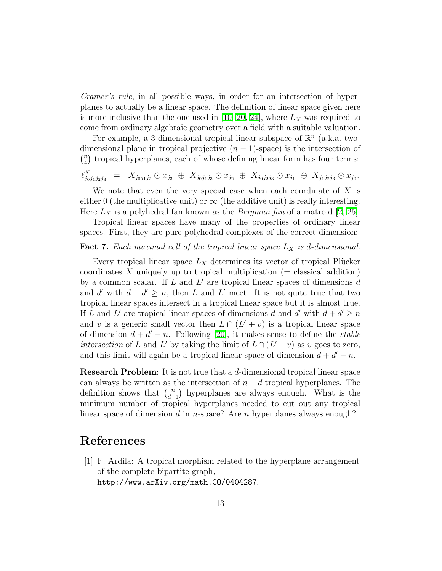Cramer's rule, in all possible ways, in order for an intersection of hyperplanes to actually be a linear space. The definition of linear space given here is more inclusive than the one used in [\[10,](#page-13-3) [20,](#page-14-2) [24\]](#page-14-5), where  $L_X$  was required to come from ordinary algebraic geometry over a field with a suitable valuation.

For example, a 3-dimensional tropical linear subspace of  $\mathbb{R}^n$  (a.k.a. twodimensional plane in tropical projective  $(n - 1)$ -space) is the intersection of  $\binom{n}{n}$  $\binom{n}{4}$  tropical hyperplanes, each of whose defining linear form has four terms:

$$
\ell_{j_0j_1j_2j_3}^X = X_{j_0j_1j_2} \odot x_{j_3} \oplus X_{j_0j_1j_3} \odot x_{j_2} \oplus X_{j_0j_2j_3} \odot x_{j_1} \oplus X_{j_1j_2j_3} \odot x_{j_0}.
$$

We note that even the very special case when each coordinate of  $X$  is either 0 (the multiplicative unit) or  $\infty$  (the additive unit) is really interesting. Here  $L_X$  is a polyhedral fan known as the *Bergman fan* of a matroid [\[2,](#page-13-4) [25\]](#page-14-6).

Tropical linear spaces have many of the properties of ordinary linear spaces. First, they are pure polyhedral complexes of the correct dimension:

#### **Fact 7.** Each maximal cell of the tropical linear space  $L_X$  is d-dimensional.

Every tropical linear space  $L_X$  determines its vector of tropical Plücker coordinates X uniquely up to tropical multiplication  $(=$  classical addition) by a common scalar. If  $L$  and  $L'$  are tropical linear spaces of dimensions  $d$ and d' with  $d + d' \geq n$ , then L and L' meet. It is not quite true that two tropical linear spaces intersect in a tropical linear space but it is almost true. If L and L' are tropical linear spaces of dimensions d and d' with  $d + d' \ge n$ and v is a generic small vector then  $L \cap (L' + v)$  is a tropical linear space of dimension  $d + d' - n$ . Following [\[20\]](#page-14-2), it makes sense to define the *stable* intersection of L and L' by taking the limit of  $L \cap (L' + v)$  as v goes to zero, and this limit will again be a tropical linear space of dimension  $d + d' - n$ .

Research Problem: It is not true that a d-dimensional tropical linear space can always be written as the intersection of  $n - d$  tropical hyperplanes. The definition shows that  $\binom{n}{d+1}$  hyperplanes are always enough. What is the minimum number of tropical hyperplanes needed to cut out any tropical linear space of dimension d in n-space? Are n hyperplanes always enough?

# References

[1] F. Ardila: A tropical morphism related to the hyperplane arrangement of the complete bipartite graph, http://www.arXiv.org/math.CO/0404287.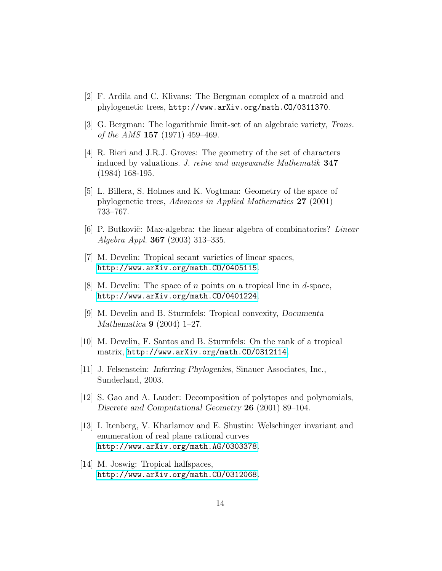- <span id="page-13-4"></span>[2] F. Ardila and C. Klivans: The Bergman complex of a matroid and phylogenetic trees, http://www.arXiv.org/math.CO/0311370.
- [3] G. Bergman: The logarithmic limit-set of an algebraic variety, Trans. of the AMS  $157$  (1971) 459–469.
- [4] R. Bieri and J.R.J. Groves: The geometry of the set of characters induced by valuations. J. reine und angewandte Mathematik 347 (1984) 168-195.
- <span id="page-13-2"></span>[5] L. Billera, S. Holmes and K. Vogtman: Geometry of the space of phylogenetic trees, Advances in Applied Mathematics 27 (2001) 733–767.
- [6] P. Butkovič: Max-algebra: the linear algebra of combinatorics? Linear Algebra Appl. 367 (2003) 313–335.
- [7] M. Develin: Tropical secant varieties of linear spaces, <http://www.arXiv.org/math.CO/0405115>.
- [8] M. Develin: The space of n points on a tropical line in d-space, <http://www.arXiv.org/math.CO/0401224>.
- [9] M. Develin and B. Sturmfels: Tropical convexity, Documenta Mathematica 9 (2004) 1–27.
- <span id="page-13-3"></span>[10] M. Develin, F. Santos and B. Sturmfels: On the rank of a tropical matrix, <http://www.arXiv.org/math.CO/0312114>.
- <span id="page-13-1"></span><span id="page-13-0"></span>[11] J. Felsenstein: Inferring Phylogenies, Sinauer Associates, Inc., Sunderland, 2003.
- [12] S. Gao and A. Lauder: Decomposition of polytopes and polynomials, Discrete and Computational Geometry 26 (2001) 89–104.
- [13] I. Itenberg, V. Kharlamov and E. Shustin: Welschinger invariant and enumeration of real plane rational curves <http://www.arXiv.org/math.AG/0303378>.
- [14] M. Joswig: Tropical halfspaces, <http://www.arXiv.org/math.CO/0312068>.